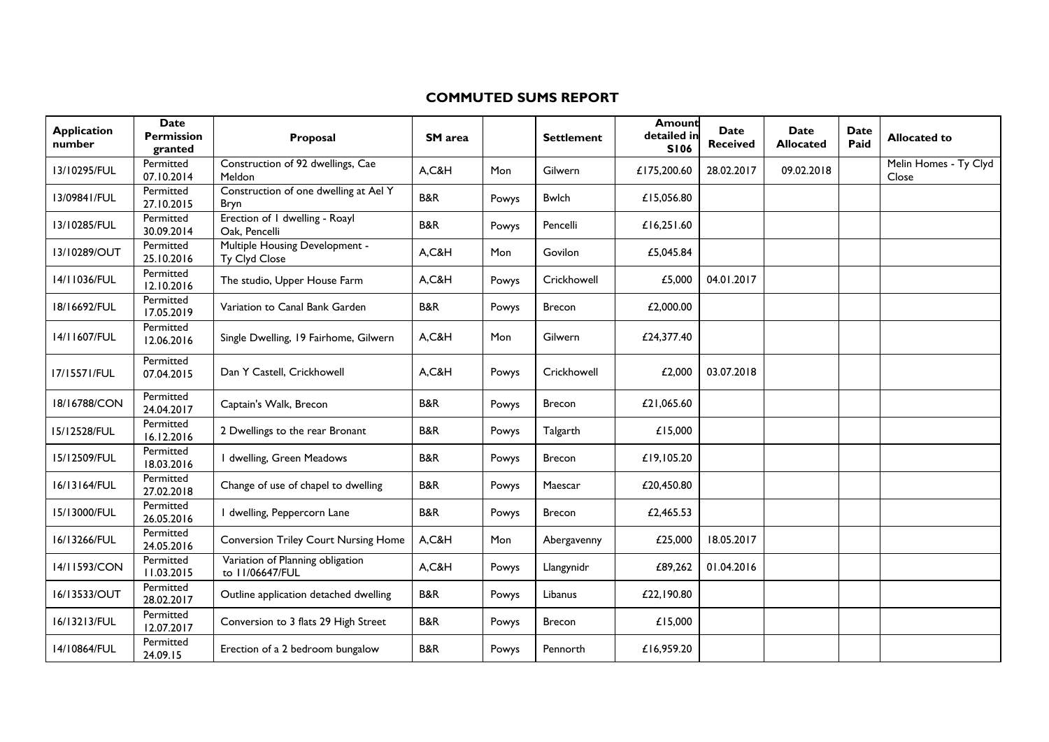## **COMMUTED SUMS REPORT**

| <b>Application</b><br>number | <b>Date</b><br><b>Permission</b><br>granted | Proposal                                            | <b>SM</b> area |       | <b>Settlement</b> | Amount<br>detailed in<br><b>SI06</b> | Date<br><b>Received</b> | <b>Date</b><br><b>Allocated</b> | <b>Date</b><br>Paid | <b>Allocated to</b>            |
|------------------------------|---------------------------------------------|-----------------------------------------------------|----------------|-------|-------------------|--------------------------------------|-------------------------|---------------------------------|---------------------|--------------------------------|
| 13/10295/FUL                 | Permitted<br>07.10.2014                     | Construction of 92 dwellings, Cae<br>Meldon         | A, C&H         | Mon   | Gilwern           | £175,200.60                          | 28.02.2017              | 09.02.2018                      |                     | Melin Homes - Ty Clyd<br>Close |
| 13/09841/FUL                 | Permitted<br>27.10.2015                     | Construction of one dwelling at Ael Y<br>Bryn       | B&R            | Powys | <b>Bwlch</b>      | £15.056.80                           |                         |                                 |                     |                                |
| 13/10285/FUL                 | Permitted<br>30.09.2014                     | Erection of I dwelling - Roayl<br>Oak, Pencelli     | <b>B&amp;R</b> | Powys | Pencelli          | £16,251.60                           |                         |                                 |                     |                                |
| 13/10289/OUT                 | Permitted<br>25.10.2016                     | Multiple Housing Development -<br>Ty Clyd Close     | A, C&H         | Mon   | Govilon           | £5.045.84                            |                         |                                 |                     |                                |
| 14/11036/FUL                 | Permitted<br>12.10.2016                     | The studio, Upper House Farm                        | A, C&H         | Powys | Crickhowell       | £5,000                               | 04.01.2017              |                                 |                     |                                |
| 18/16692/FUL                 | Permitted<br>17.05.2019                     | Variation to Canal Bank Garden                      | B&R            | Powys | <b>Brecon</b>     | £2,000.00                            |                         |                                 |                     |                                |
| 14/11607/FUL                 | Permitted<br>12.06.2016                     | Single Dwelling, 19 Fairhome, Gilwern               | A, C&H         | Mon   | Gilwern           | £24,377.40                           |                         |                                 |                     |                                |
| 17/15571/FUL                 | Permitted<br>07.04.2015                     | Dan Y Castell, Crickhowell                          | A,C&H          | Powys | Crickhowell       | £2,000                               | 03.07.2018              |                                 |                     |                                |
| 18/16788/CON                 | Permitted<br>24.04.2017                     | Captain's Walk, Brecon                              | <b>B&amp;R</b> | Powys | <b>Brecon</b>     | £21,065.60                           |                         |                                 |                     |                                |
| 15/12528/FUL                 | Permitted<br>16.12.2016                     | 2 Dwellings to the rear Bronant                     | <b>B&amp;R</b> | Powys | Talgarth          | £15,000                              |                         |                                 |                     |                                |
| 15/12509/FUL                 | Permitted<br>18.03.2016                     | I dwelling, Green Meadows                           | <b>B&amp;R</b> | Powys | <b>Brecon</b>     | £19,105.20                           |                         |                                 |                     |                                |
| 16/13164/FUL                 | Permitted<br>27.02.2018                     | Change of use of chapel to dwelling                 | <b>B&amp;R</b> | Powys | Maescar           | £20,450.80                           |                         |                                 |                     |                                |
| 15/13000/FUL                 | Permitted<br>26.05.2016                     | I dwelling, Peppercorn Lane                         | B&R            | Powys | Brecon            | £2,465.53                            |                         |                                 |                     |                                |
| 16/13266/FUL                 | Permitted<br>24.05.2016                     | <b>Conversion Triley Court Nursing Home</b>         | A,C&H          | Mon   | Abergavenny       | £25,000                              | 18.05.2017              |                                 |                     |                                |
| 14/11593/CON                 | Permitted<br>11.03.2015                     | Variation of Planning obligation<br>to 11/06647/FUL | A, C&H         | Powys | Llangynidr        | £89,262                              | 01.04.2016              |                                 |                     |                                |
| 16/13533/OUT                 | Permitted<br>28.02.2017                     | Outline application detached dwelling               | B&R            | Powys | Libanus           | £22,190.80                           |                         |                                 |                     |                                |
| 16/13213/FUL                 | Permitted<br>12.07.2017                     | Conversion to 3 flats 29 High Street                | <b>B&amp;R</b> | Powys | <b>Brecon</b>     | £15,000                              |                         |                                 |                     |                                |
| 14/10864/FUL                 | Permitted<br>24.09.15                       | Erection of a 2 bedroom bungalow                    | B&R            | Powys | Pennorth          | £16,959.20                           |                         |                                 |                     |                                |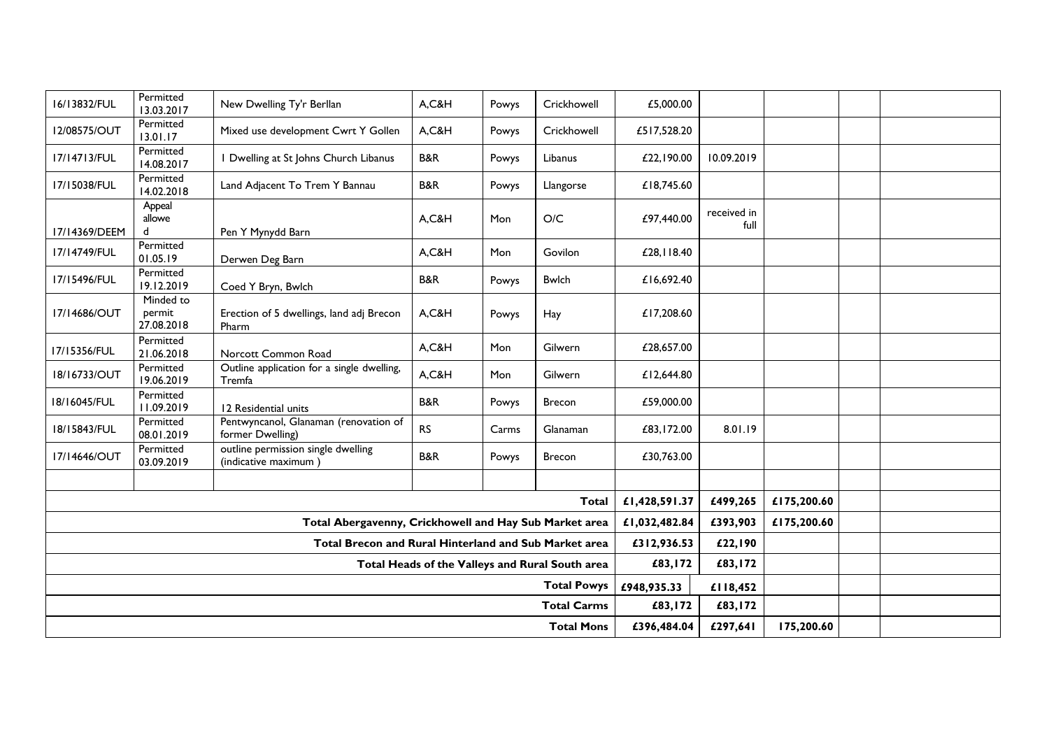| 16/13832/FUL                                           | Permitted<br>13.03.2017           | New Dwelling Ty'r Berllan                                  | A,C&H          | Powys | Crickhowell   | £5,000.00     |                     |             |  |
|--------------------------------------------------------|-----------------------------------|------------------------------------------------------------|----------------|-------|---------------|---------------|---------------------|-------------|--|
| 12/08575/OUT                                           | Permitted<br>13.01.17             | Mixed use development Cwrt Y Gollen                        | A,C&H          | Powys | Crickhowell   | £517,528.20   |                     |             |  |
| 17/14713/FUL                                           | Permitted<br>14.08.2017           | I Dwelling at St Johns Church Libanus                      | B&R            | Powys | Libanus       | £22,190.00    | 10.09.2019          |             |  |
| 17/15038/FUL                                           | Permitted<br>14.02.2018           | Land Adjacent To Trem Y Bannau                             | <b>B&amp;R</b> | Powys | Llangorse     | £18,745.60    |                     |             |  |
| 17/14369/DEEM                                          | Appeal<br>allowe<br>d             | Pen Y Mynydd Barn                                          | A,C&H          | Mon   | O/C           | £97,440.00    | received in<br>full |             |  |
| 17/14749/FUL                                           | Permitted<br>01.05.19             | Derwen Deg Barn                                            | A,C&H          | Mon   | Govilon       | £28,118.40    |                     |             |  |
| 17/15496/FUL                                           | Permitted<br>19.12.2019           | Coed Y Bryn, Bwlch                                         | <b>B&amp;R</b> | Powys | <b>Bwlch</b>  | £16,692.40    |                     |             |  |
| 17/14686/OUT                                           | Minded to<br>permit<br>27.08.2018 | Erection of 5 dwellings, land adj Brecon<br>Pharm          | A,C&H          | Powys | Hay           | £17,208.60    |                     |             |  |
| 17/15356/FUL                                           | Permitted<br>21.06.2018           | Norcott Common Road                                        | A,C&H          | Mon   | Gilwern       | £28,657.00    |                     |             |  |
| 18/16733/OUT                                           | Permitted<br>19.06.2019           | Outline application for a single dwelling,<br>Tremfa       | A,C&H          | Mon   | Gilwern       | £12,644.80    |                     |             |  |
| 18/16045/FUL                                           | Permitted<br>11.09.2019           | 12 Residential units                                       | <b>B&amp;R</b> | Powys | Brecon        | £59,000.00    |                     |             |  |
| 18/15843/FUL                                           | Permitted<br>08.01.2019           | Pentwyncanol, Glanaman (renovation of<br>former Dwelling)  | <b>RS</b>      | Carms | Glanaman      | £83,172.00    | 8.01.19             |             |  |
| 17/14646/OUT                                           | Permitted<br>03.09.2019           | outline permission single dwelling<br>(indicative maximum) | <b>B&amp;R</b> | Powys | <b>Brecon</b> | £30,763.00    |                     |             |  |
|                                                        |                                   |                                                            |                |       |               |               |                     |             |  |
| <b>Total</b>                                           |                                   |                                                            |                |       |               |               | £499,265            | £175,200.60 |  |
| Total Abergavenny, Crickhowell and Hay Sub Market area |                                   |                                                            |                |       |               | £1,032,482.84 | £393,903            | £175,200.60 |  |
| Total Brecon and Rural Hinterland and Sub Market area  |                                   |                                                            |                |       |               |               | £22,190             |             |  |
| Total Heads of the Valleys and Rural South area        |                                   |                                                            |                |       |               |               | £83,172             |             |  |
| <b>Total Powys</b>                                     |                                   |                                                            |                |       |               | £948,935.33   | £118,452            |             |  |
| <b>Total Carms</b>                                     |                                   |                                                            |                |       |               | £83,172       | £83,172             |             |  |
| <b>Total Mons</b>                                      |                                   |                                                            |                |       |               | £396,484.04   | £297,641            | 175,200.60  |  |